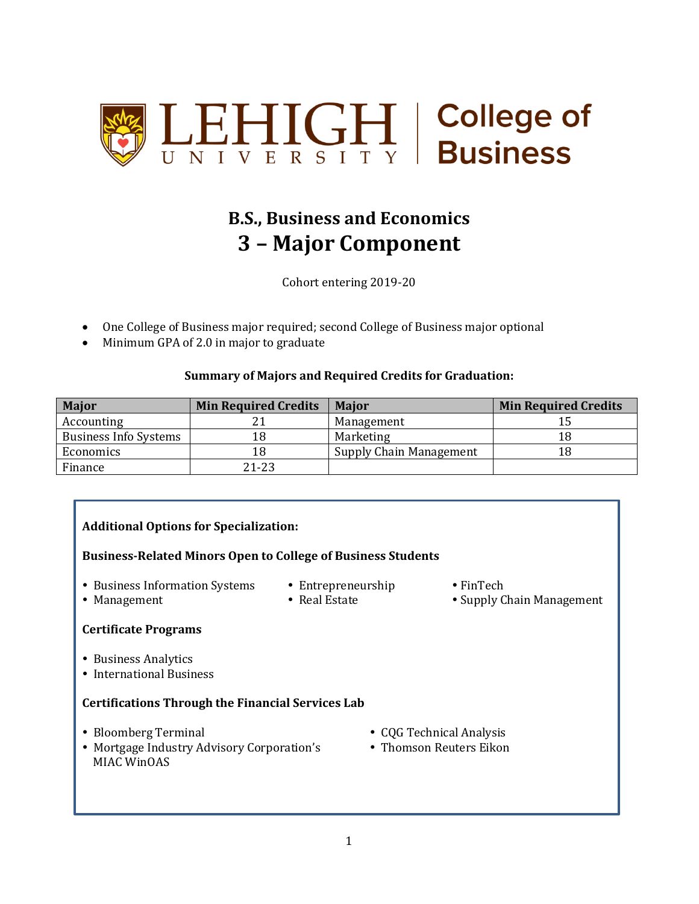

#### **B.S., Business and Economics 3 – Major Component**

Cohort entering 2019-20

- One College of Business major required; second College of Business major optional
- Minimum GPA of 2.0 in major to graduate

#### **Summary of Majors and Required Credits for Graduation:**

| <b>Major</b>                 | <b>Min Required Credits</b> | <b>Major</b>            | <b>Min Required Credits</b> |
|------------------------------|-----------------------------|-------------------------|-----------------------------|
| Accounting                   |                             | Management              |                             |
| <b>Business Info Systems</b> | 18                          | Marketing               |                             |
| Economics                    | 18                          | Supply Chain Management |                             |
| Finance                      | $21 - 23$                   |                         |                             |

| <b>Additional Options for Specialization:</b>                                                                                                      |                                     |                                                |
|----------------------------------------------------------------------------------------------------------------------------------------------------|-------------------------------------|------------------------------------------------|
| <b>Business-Related Minors Open to College of Business Students</b>                                                                                |                                     |                                                |
| <b>Business Information Systems</b><br>٠<br>Management<br>$\bullet$                                                                                | • Entrepreneurship<br>• Real Estate | $\bullet$ FinTech<br>• Supply Chain Management |
| <b>Certificate Programs</b>                                                                                                                        |                                     |                                                |
| • Business Analytics<br>• International Business                                                                                                   |                                     |                                                |
| <b>Certifications Through the Financial Services Lab</b>                                                                                           |                                     |                                                |
| • CQG Technical Analysis<br><b>Bloomberg Terminal</b><br>٠<br>• Thomson Reuters Eikon<br>• Mortgage Industry Advisory Corporation's<br>MIAC WinOAS |                                     |                                                |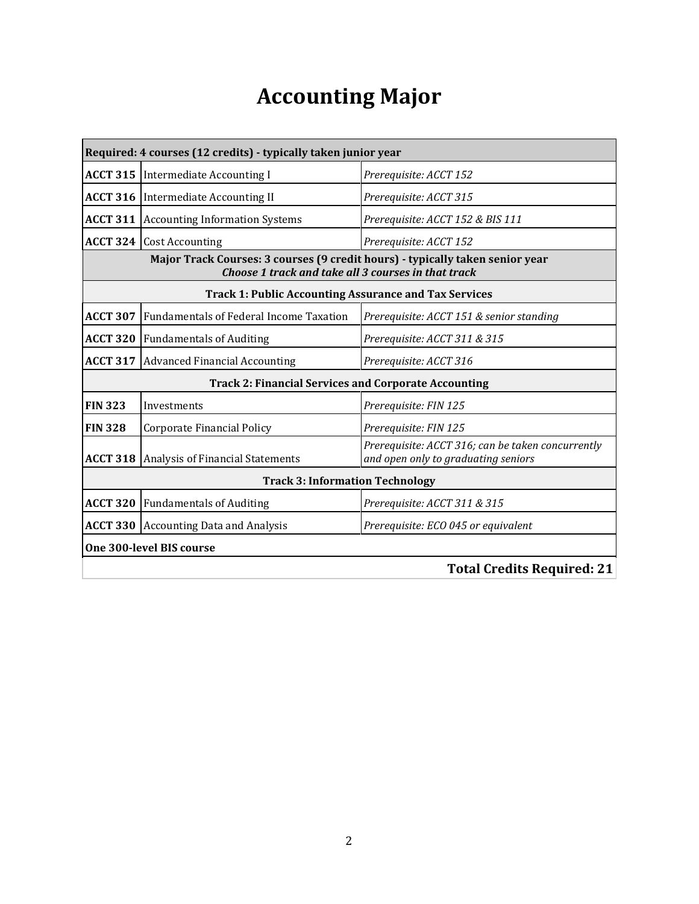### **Accounting Major**

| Required: 4 courses (12 credits) - typically taken junior year                                                                       |                                                              |                                                                                          |  |
|--------------------------------------------------------------------------------------------------------------------------------------|--------------------------------------------------------------|------------------------------------------------------------------------------------------|--|
|                                                                                                                                      | <b>ACCT 315</b> Intermediate Accounting I                    | Prerequisite: ACCT 152                                                                   |  |
|                                                                                                                                      | <b>ACCT 316   Intermediate Accounting II</b>                 | Prerequisite: ACCT 315                                                                   |  |
|                                                                                                                                      | <b>ACCT 311</b> Accounting Information Systems               | Prerequisite: ACCT 152 & BIS 111                                                         |  |
|                                                                                                                                      | <b>ACCT 324</b> Cost Accounting                              | Prerequisite: ACCT 152                                                                   |  |
| Major Track Courses: 3 courses (9 credit hours) - typically taken senior year<br>Choose 1 track and take all 3 courses in that track |                                                              |                                                                                          |  |
|                                                                                                                                      | <b>Track 1: Public Accounting Assurance and Tax Services</b> |                                                                                          |  |
| <b>ACCT 307</b>                                                                                                                      | <b>Fundamentals of Federal Income Taxation</b>               | Prerequisite: ACCT 151 & senior standing                                                 |  |
|                                                                                                                                      | <b>ACCT 320</b> Fundamentals of Auditing                     | Prerequisite: ACCT 311 & 315                                                             |  |
|                                                                                                                                      | <b>ACCT 317 Advanced Financial Accounting</b>                | Prerequisite: ACCT 316                                                                   |  |
|                                                                                                                                      | <b>Track 2: Financial Services and Corporate Accounting</b>  |                                                                                          |  |
| <b>FIN 323</b>                                                                                                                       | Investments                                                  | Prerequisite: FIN 125                                                                    |  |
| <b>FIN 328</b>                                                                                                                       | Corporate Financial Policy                                   | Prerequisite: FIN 125                                                                    |  |
|                                                                                                                                      | <b>ACCT 318</b> Analysis of Financial Statements             | Prerequisite: ACCT 316; can be taken concurrently<br>and open only to graduating seniors |  |
| <b>Track 3: Information Technology</b>                                                                                               |                                                              |                                                                                          |  |
|                                                                                                                                      | <b>ACCT 320</b> Fundamentals of Auditing                     | Prerequisite: ACCT 311 & 315                                                             |  |
|                                                                                                                                      | <b>ACCT 330</b> Accounting Data and Analysis                 | Prerequisite: ECO 045 or equivalent                                                      |  |
|                                                                                                                                      | One 300-level BIS course                                     |                                                                                          |  |
| <b>Total Credits Required: 21</b>                                                                                                    |                                                              |                                                                                          |  |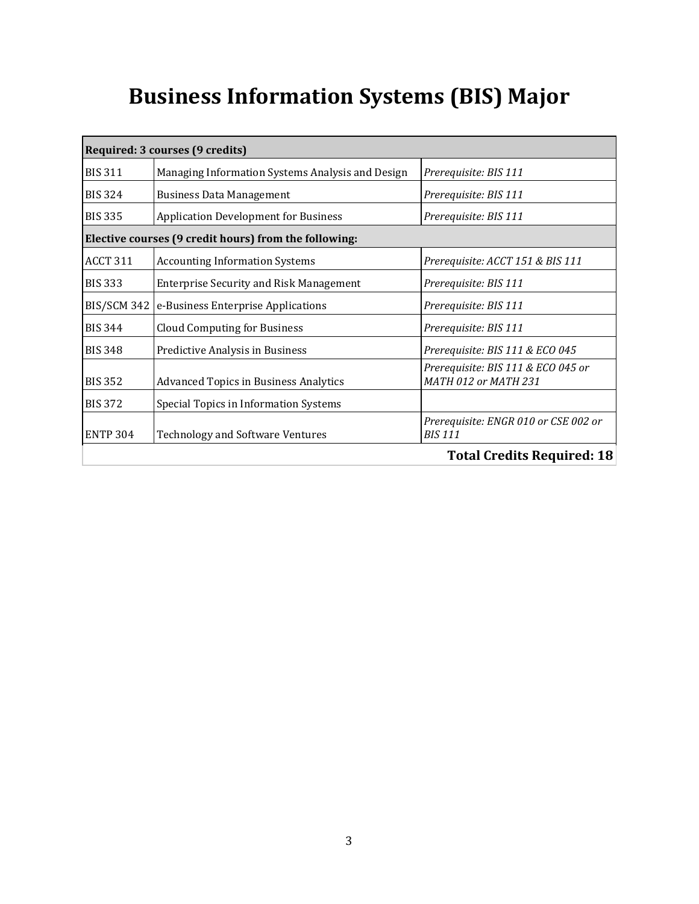# **Business Information Systems (BIS) Major**

| Required: 3 courses (9 credits) |                                                       |                                                            |
|---------------------------------|-------------------------------------------------------|------------------------------------------------------------|
| <b>BIS 311</b>                  | Managing Information Systems Analysis and Design      | Prerequisite: BIS 111                                      |
| <b>BIS 324</b>                  | <b>Business Data Management</b>                       | Prerequisite: BIS 111                                      |
| <b>BIS 335</b>                  | <b>Application Development for Business</b>           | Prerequisite: BIS 111                                      |
|                                 | Elective courses (9 credit hours) from the following: |                                                            |
| ACCT 311                        | <b>Accounting Information Systems</b>                 | Prerequisite: ACCT 151 & BIS 111                           |
| <b>BIS 333</b>                  | <b>Enterprise Security and Risk Management</b>        | Prerequisite: BIS 111                                      |
| BIS/SCM 342                     | e-Business Enterprise Applications                    | Prerequisite: BIS 111                                      |
| <b>BIS 344</b>                  | <b>Cloud Computing for Business</b>                   | Prerequisite: BIS 111                                      |
| <b>BIS 348</b>                  | Predictive Analysis in Business                       | Prerequisite: BIS 111 & ECO 045                            |
| <b>BIS 352</b>                  | <b>Advanced Topics in Business Analytics</b>          | Prerequisite: BIS 111 & ECO 045 or<br>MATH 012 or MATH 231 |
| <b>BIS 372</b>                  | Special Topics in Information Systems                 |                                                            |
| <b>ENTP 304</b>                 | <b>Technology and Software Ventures</b>               | Prerequisite: ENGR 010 or CSE 002 or<br><b>BIS 111</b>     |
|                                 |                                                       | <b>Total Credits Required: 18</b>                          |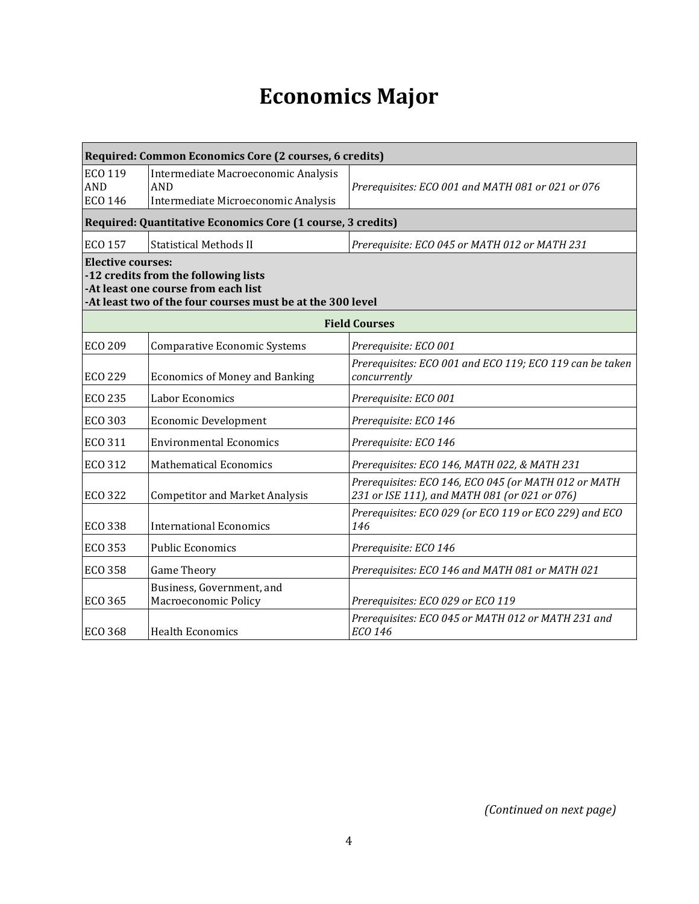### **Economics Major**

| Required: Common Economics Core (2 courses, 6 credits)      |                                                                                                                                           |                                                                                                       |
|-------------------------------------------------------------|-------------------------------------------------------------------------------------------------------------------------------------------|-------------------------------------------------------------------------------------------------------|
| ECO 119<br><b>AND</b><br><b>ECO 146</b>                     | Intermediate Macroeconomic Analysis<br><b>AND</b><br>Intermediate Microeconomic Analysis                                                  | Prerequisites: ECO 001 and MATH 081 or 021 or 076                                                     |
| Required: Quantitative Economics Core (1 course, 3 credits) |                                                                                                                                           |                                                                                                       |
| ECO 157                                                     | <b>Statistical Methods II</b>                                                                                                             | Prerequisite: ECO 045 or MATH 012 or MATH 231                                                         |
| <b>Elective courses:</b>                                    | -12 credits from the following lists<br>-At least one course from each list<br>-At least two of the four courses must be at the 300 level |                                                                                                       |
|                                                             |                                                                                                                                           | <b>Field Courses</b>                                                                                  |
| <b>ECO 209</b>                                              | <b>Comparative Economic Systems</b>                                                                                                       | Prerequisite: ECO 001                                                                                 |
| <b>ECO 229</b>                                              | <b>Economics of Money and Banking</b>                                                                                                     | Prerequisites: ECO 001 and ECO 119; ECO 119 can be taken<br>concurrently                              |
| <b>ECO 235</b>                                              | <b>Labor Economics</b>                                                                                                                    | Prerequisite: ECO 001                                                                                 |
| <b>ECO 303</b>                                              | Economic Development                                                                                                                      | Prerequisite: ECO 146                                                                                 |
| ECO 311                                                     | <b>Environmental Economics</b>                                                                                                            | Prerequisite: ECO 146                                                                                 |
| ECO 312                                                     | <b>Mathematical Economics</b>                                                                                                             | Prerequisites: ECO 146, MATH 022, & MATH 231                                                          |
| ECO 322                                                     | <b>Competitor and Market Analysis</b>                                                                                                     | Prerequisites: ECO 146, ECO 045 (or MATH 012 or MATH<br>231 or ISE 111), and MATH 081 (or 021 or 076) |
| <b>ECO 338</b>                                              | <b>International Economics</b>                                                                                                            | Prerequisites: ECO 029 (or ECO 119 or ECO 229) and ECO<br>146                                         |
| ECO 353                                                     | <b>Public Economics</b>                                                                                                                   | Prerequisite: ECO 146                                                                                 |
| <b>ECO 358</b>                                              | Game Theory                                                                                                                               | Prerequisites: ECO 146 and MATH 081 or MATH 021                                                       |
| ECO 365                                                     | Business, Government, and<br>Macroeconomic Policy                                                                                         | Prerequisites: ECO 029 or ECO 119                                                                     |
| <b>ECO 368</b>                                              | <b>Health Economics</b>                                                                                                                   | Prerequisites: ECO 045 or MATH 012 or MATH 231 and<br><b>ECO 146</b>                                  |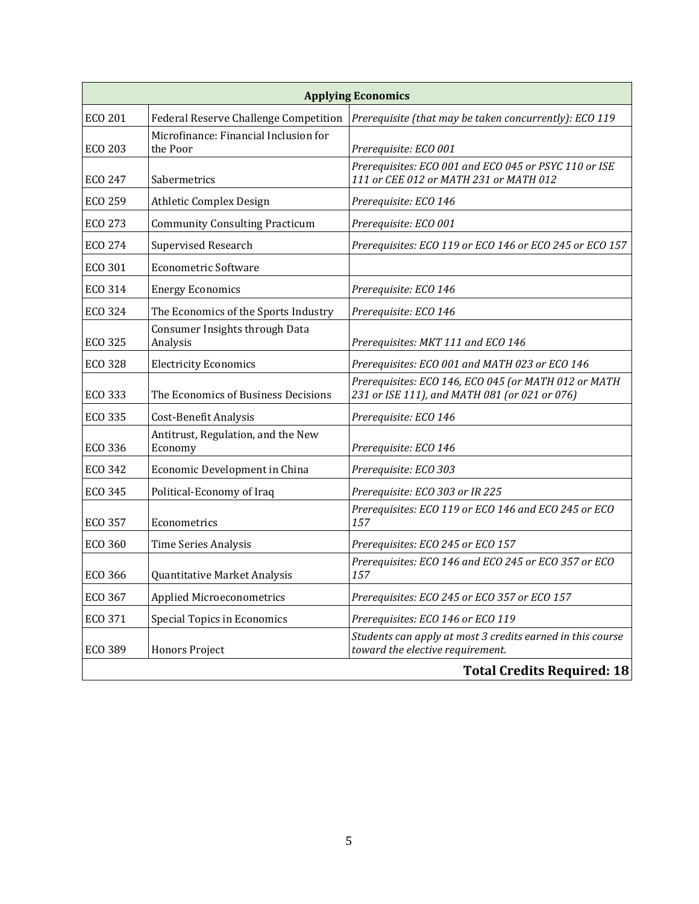|                | <b>Applying Economics</b>                         |                                                                                                       |  |
|----------------|---------------------------------------------------|-------------------------------------------------------------------------------------------------------|--|
| <b>ECO 201</b> | <b>Federal Reserve Challenge Competition</b>      | Prerequisite (that may be taken concurrently): ECO 119                                                |  |
| ECO 203        | Microfinance: Financial Inclusion for<br>the Poor | Prerequisite: ECO 001                                                                                 |  |
| ECO 247        | Sabermetrics                                      | Prerequisites: ECO 001 and ECO 045 or PSYC 110 or ISE<br>111 or CEE 012 or MATH 231 or MATH 012       |  |
| ECO 259        | <b>Athletic Complex Design</b>                    | Prerequisite: ECO 146                                                                                 |  |
| <b>ECO 273</b> | <b>Community Consulting Practicum</b>             | Prerequisite: ECO 001                                                                                 |  |
| ECO 274        | <b>Supervised Research</b>                        | Prerequisites: ECO 119 or ECO 146 or ECO 245 or ECO 157                                               |  |
| ECO 301        | <b>Econometric Software</b>                       |                                                                                                       |  |
| ECO 314        | <b>Energy Economics</b>                           | Prerequisite: ECO 146                                                                                 |  |
| ECO 324        | The Economics of the Sports Industry              | Prerequisite: ECO 146                                                                                 |  |
| ECO 325        | Consumer Insights through Data<br>Analysis        | Prerequisites: MKT 111 and ECO 146                                                                    |  |
| ECO 328        | <b>Electricity Economics</b>                      | Prerequisites: ECO 001 and MATH 023 or ECO 146                                                        |  |
| ECO 333        | The Economics of Business Decisions               | Prerequisites: ECO 146, ECO 045 (or MATH 012 or MATH<br>231 or ISE 111), and MATH 081 (or 021 or 076) |  |
| ECO 335        | Cost-Benefit Analysis                             | Prerequisite: ECO 146                                                                                 |  |
| ECO 336        | Antitrust, Regulation, and the New<br>Economy     | Prerequisite: ECO 146                                                                                 |  |
| ECO 342        | Economic Development in China                     | Prerequisite: ECO 303                                                                                 |  |
| ECO 345        | Political-Economy of Iraq                         | Prerequisite: ECO 303 or IR 225                                                                       |  |
| ECO 357        | Econometrics                                      | Prerequisites: ECO 119 or ECO 146 and ECO 245 or ECO<br>157                                           |  |
| ECO 360        | Time Series Analysis                              | Prerequisites: ECO 245 or ECO 157                                                                     |  |
| ECO 366        | Quantitative Market Analysis                      | Prerequisites: ECO 146 and ECO 245 or ECO 357 or ECO<br>157                                           |  |
| ECO 367        | <b>Applied Microeconometrics</b>                  | Prerequisites: ECO 245 or ECO 357 or ECO 157                                                          |  |
| ECO 371        | <b>Special Topics in Economics</b>                | Prerequisites: ECO 146 or ECO 119                                                                     |  |
| ECO 389        | <b>Honors Project</b>                             | Students can apply at most 3 credits earned in this course<br>toward the elective requirement.        |  |
|                |                                                   | <b>Total Credits Required: 18</b>                                                                     |  |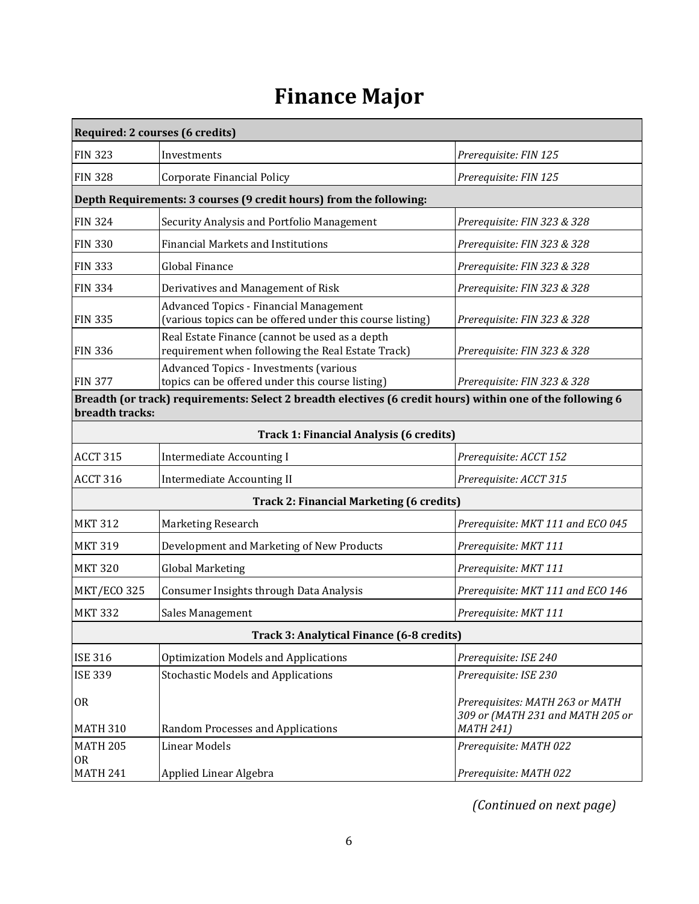## **Finance Major**

|                       | Required: 2 courses (6 credits)                                                                            |                                                                                         |
|-----------------------|------------------------------------------------------------------------------------------------------------|-----------------------------------------------------------------------------------------|
| <b>FIN 323</b>        | Investments                                                                                                | Prerequisite: FIN 125                                                                   |
| <b>FIN 328</b>        | Corporate Financial Policy                                                                                 | Prerequisite: FIN 125                                                                   |
|                       | Depth Requirements: 3 courses (9 credit hours) from the following:                                         |                                                                                         |
| <b>FIN 324</b>        | Security Analysis and Portfolio Management                                                                 | Prerequisite: FIN 323 & 328                                                             |
| <b>FIN 330</b>        | <b>Financial Markets and Institutions</b>                                                                  | Prerequisite: FIN 323 & 328                                                             |
| <b>FIN 333</b>        | <b>Global Finance</b>                                                                                      | Prerequisite: FIN 323 & 328                                                             |
| <b>FIN 334</b>        | Derivatives and Management of Risk                                                                         | Prerequisite: FIN 323 & 328                                                             |
| <b>FIN 335</b>        | Advanced Topics - Financial Management<br>(various topics can be offered under this course listing)        | Prerequisite: FIN 323 & 328                                                             |
| <b>FIN 336</b>        | Real Estate Finance (cannot be used as a depth<br>requirement when following the Real Estate Track)        | Prerequisite: FIN 323 & 328                                                             |
| <b>FIN 377</b>        | <b>Advanced Topics - Investments (various</b><br>topics can be offered under this course listing)          | Prerequisite: FIN 323 & 328                                                             |
| breadth tracks:       | Breadth (or track) requirements: Select 2 breadth electives (6 credit hours) within one of the following 6 |                                                                                         |
|                       | Track 1: Financial Analysis (6 credits)                                                                    |                                                                                         |
| <b>ACCT 315</b>       | <b>Intermediate Accounting I</b>                                                                           | Prerequisite: ACCT 152                                                                  |
| <b>ACCT 316</b>       | <b>Intermediate Accounting II</b>                                                                          | Prerequisite: ACCT 315                                                                  |
|                       | <b>Track 2: Financial Marketing (6 credits)</b>                                                            |                                                                                         |
| <b>MKT 312</b>        | <b>Marketing Research</b>                                                                                  | Prerequisite: MKT 111 and ECO 045                                                       |
| <b>MKT 319</b>        | Development and Marketing of New Products                                                                  | Prerequisite: MKT 111                                                                   |
| <b>MKT 320</b>        | <b>Global Marketing</b>                                                                                    | Prerequisite: MKT 111                                                                   |
| MKT/ECO 325           | Consumer Insights through Data Analysis                                                                    | Prerequisite: MKT 111 and ECO 146                                                       |
| <b>MKT 332</b>        | Sales Management                                                                                           | Prerequisite: MKT 111                                                                   |
|                       | Track 3: Analytical Finance (6-8 credits)                                                                  |                                                                                         |
| <b>ISE 316</b>        | <b>Optimization Models and Applications</b>                                                                | Prerequisite: ISE 240                                                                   |
| <b>ISE 339</b>        | <b>Stochastic Models and Applications</b>                                                                  | Prerequisite: ISE 230                                                                   |
| 0R<br><b>MATH 310</b> | Random Processes and Applications                                                                          | Prerequisites: MATH 263 or MATH<br>309 or (MATH 231 and MATH 205 or<br><b>MATH 241)</b> |
| <b>MATH 205</b>       | <b>Linear Models</b>                                                                                       | Prerequisite: MATH 022                                                                  |
| 0R<br><b>MATH 241</b> | Applied Linear Algebra                                                                                     | Prerequisite: MATH 022                                                                  |

*(Continued on next page)*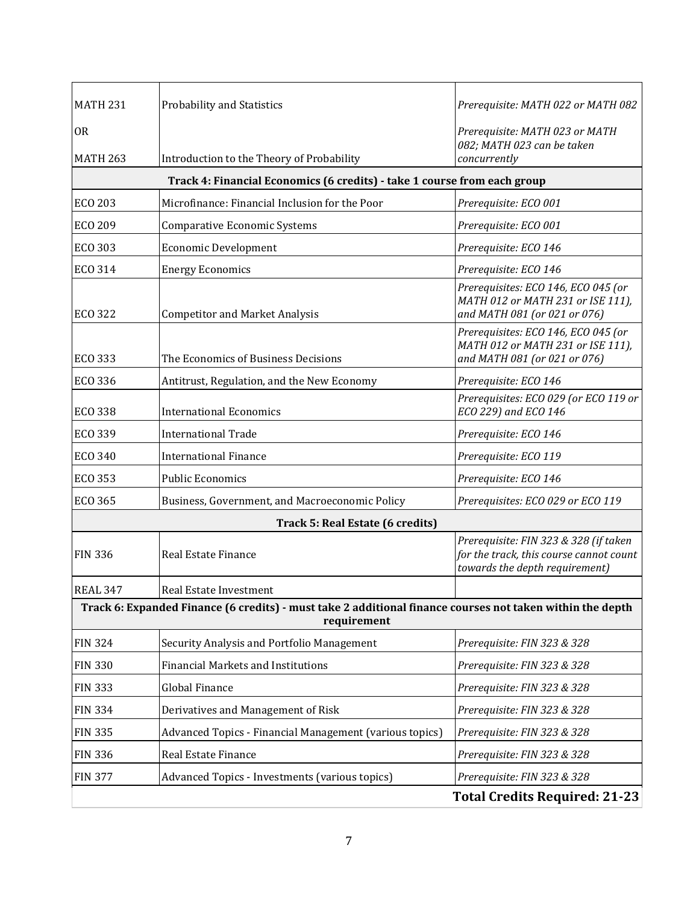| <b>MATH 231</b>                                                                                                          | Probability and Statistics                                               | Prerequisite: MATH 022 or MATH 082                                                                                 |
|--------------------------------------------------------------------------------------------------------------------------|--------------------------------------------------------------------------|--------------------------------------------------------------------------------------------------------------------|
| 0R                                                                                                                       |                                                                          | Prerequisite: MATH 023 or MATH<br>082; MATH 023 can be taken                                                       |
| <b>MATH 263</b>                                                                                                          | Introduction to the Theory of Probability                                | concurrently                                                                                                       |
|                                                                                                                          | Track 4: Financial Economics (6 credits) - take 1 course from each group |                                                                                                                    |
| <b>ECO 203</b>                                                                                                           | Microfinance: Financial Inclusion for the Poor                           | Prerequisite: ECO 001                                                                                              |
| ECO 209                                                                                                                  | <b>Comparative Economic Systems</b>                                      | Prerequisite: ECO 001                                                                                              |
| <b>ECO 303</b>                                                                                                           | <b>Economic Development</b>                                              | Prerequisite: ECO 146                                                                                              |
| ECO 314                                                                                                                  | <b>Energy Economics</b>                                                  | Prerequisite: ECO 146                                                                                              |
| <b>ECO 322</b>                                                                                                           | <b>Competitor and Market Analysis</b>                                    | Prerequisites: ECO 146, ECO 045 (or<br>MATH 012 or MATH 231 or ISE 111),<br>and MATH 081 (or 021 or 076)           |
| ECO 333                                                                                                                  | The Economics of Business Decisions                                      | Prerequisites: ECO 146, ECO 045 (or<br>MATH 012 or MATH 231 or ISE 111),<br>and MATH 081 (or 021 or 076)           |
| ECO 336                                                                                                                  | Antitrust, Regulation, and the New Economy                               | Prerequisite: ECO 146                                                                                              |
| <b>ECO 338</b>                                                                                                           | <b>International Economics</b>                                           | Prerequisites: ECO 029 (or ECO 119 or<br>ECO 229) and ECO 146                                                      |
| ECO 339                                                                                                                  | <b>International Trade</b>                                               | Prerequisite: ECO 146                                                                                              |
| <b>ECO 340</b>                                                                                                           | <b>International Finance</b>                                             | Prerequisite: ECO 119                                                                                              |
| ECO 353                                                                                                                  | <b>Public Economics</b>                                                  | Prerequisite: ECO 146                                                                                              |
| ECO 365                                                                                                                  | Business, Government, and Macroeconomic Policy                           | Prerequisites: ECO 029 or ECO 119                                                                                  |
|                                                                                                                          | Track 5: Real Estate (6 credits)                                         |                                                                                                                    |
| <b>FIN 336</b>                                                                                                           | <b>Real Estate Finance</b>                                               | Prerequisite: FIN 323 & 328 (if taken<br>for the track, this course cannot count<br>towards the depth requirement) |
| <b>REAL 347</b>                                                                                                          | Real Estate Investment                                                   |                                                                                                                    |
| Track 6: Expanded Finance (6 credits) - must take 2 additional finance courses not taken within the depth<br>requirement |                                                                          |                                                                                                                    |
| <b>FIN 324</b>                                                                                                           | Security Analysis and Portfolio Management                               | Prerequisite: FIN 323 & 328                                                                                        |
| <b>FIN 330</b>                                                                                                           | <b>Financial Markets and Institutions</b>                                | Prerequisite: FIN 323 & 328                                                                                        |
| <b>FIN 333</b>                                                                                                           | Global Finance                                                           | Prerequisite: FIN 323 & 328                                                                                        |
| <b>FIN 334</b>                                                                                                           | Derivatives and Management of Risk                                       | Prerequisite: FIN 323 & 328                                                                                        |
| <b>FIN 335</b>                                                                                                           | Advanced Topics - Financial Management (various topics)                  | Prerequisite: FIN 323 & 328                                                                                        |
| <b>FIN 336</b>                                                                                                           | Real Estate Finance                                                      | Prerequisite: FIN 323 & 328                                                                                        |
| <b>FIN 377</b>                                                                                                           | Advanced Topics - Investments (various topics)                           | Prerequisite: FIN 323 & 328                                                                                        |
|                                                                                                                          |                                                                          | <b>Total Credits Required: 21-23</b>                                                                               |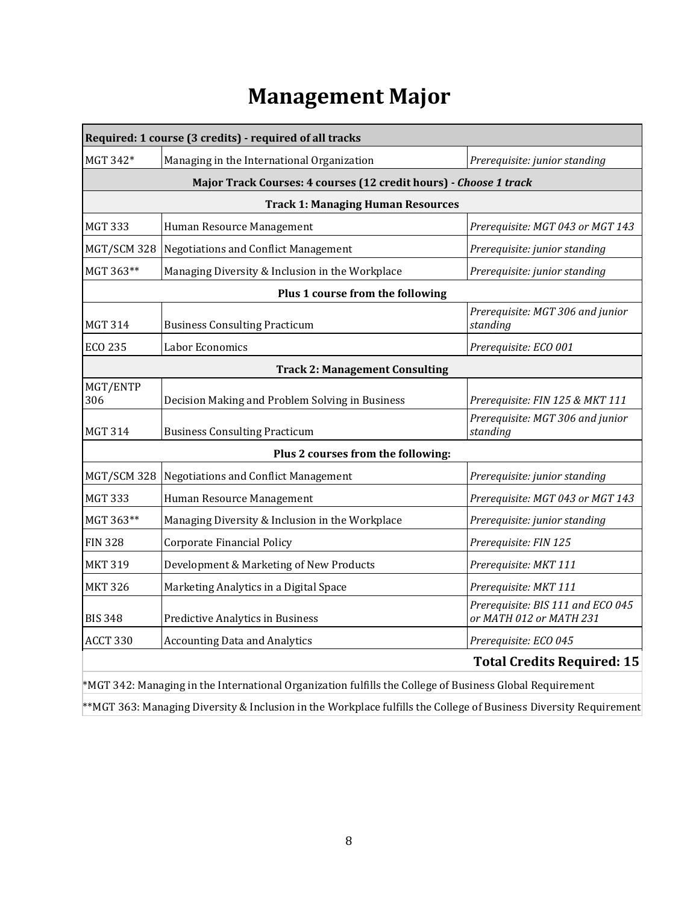#### **Management Major**

|                 | Required: 1 course (3 credits) - required of all tracks                                                     |                                                              |  |
|-----------------|-------------------------------------------------------------------------------------------------------------|--------------------------------------------------------------|--|
| MGT 342*        | Managing in the International Organization                                                                  | Prerequisite: junior standing                                |  |
|                 | Major Track Courses: 4 courses (12 credit hours) - Choose 1 track                                           |                                                              |  |
|                 | <b>Track 1: Managing Human Resources</b>                                                                    |                                                              |  |
| <b>MGT 333</b>  | Human Resource Management                                                                                   | Prerequisite: MGT 043 or MGT 143                             |  |
| MGT/SCM 328     | <b>Negotiations and Conflict Management</b>                                                                 | Prerequisite: junior standing                                |  |
| MGT 363**       | Managing Diversity & Inclusion in the Workplace                                                             | Prerequisite: junior standing                                |  |
|                 | Plus 1 course from the following                                                                            |                                                              |  |
| <b>MGT 314</b>  | <b>Business Consulting Practicum</b>                                                                        | Prerequisite: MGT 306 and junior<br>standing                 |  |
| <b>ECO 235</b>  | Labor Economics                                                                                             | Prerequisite: ECO 001                                        |  |
|                 | <b>Track 2: Management Consulting</b>                                                                       |                                                              |  |
| MGT/ENTP<br>306 | Decision Making and Problem Solving in Business                                                             | Prerequisite: FIN 125 & MKT 111                              |  |
| <b>MGT 314</b>  | <b>Business Consulting Practicum</b>                                                                        | Prerequisite: MGT 306 and junior<br>standing                 |  |
|                 | Plus 2 courses from the following:                                                                          |                                                              |  |
| MGT/SCM 328     | <b>Negotiations and Conflict Management</b>                                                                 | Prerequisite: junior standing                                |  |
| <b>MGT 333</b>  | Human Resource Management                                                                                   | Prerequisite: MGT 043 or MGT 143                             |  |
| MGT 363**       | Managing Diversity & Inclusion in the Workplace                                                             | Prerequisite: junior standing                                |  |
| <b>FIN 328</b>  | Corporate Financial Policy                                                                                  | Prerequisite: FIN 125                                        |  |
| <b>MKT 319</b>  | Development & Marketing of New Products                                                                     | Prerequisite: MKT 111                                        |  |
| <b>MKT 326</b>  | Marketing Analytics in a Digital Space                                                                      | Prerequisite: MKT 111                                        |  |
| <b>BIS 348</b>  | Predictive Analytics in Business                                                                            | Prerequisite: BIS 111 and ECO 045<br>or MATH 012 or MATH 231 |  |
| ACCT 330        | <b>Accounting Data and Analytics</b>                                                                        | Prerequisite: ECO 045                                        |  |
|                 |                                                                                                             | <b>Total Credits Required: 15</b>                            |  |
|                 | $*$ MGT 342; Managing in the International Organization fulfills the College of Business Global Requirement |                                                              |  |

ternational Organization fulfills the College of Business Global Requi

\*\*MGT 363: Managing Diversity & Inclusion in the Workplace fulfills the College of Business Diversity Requirement